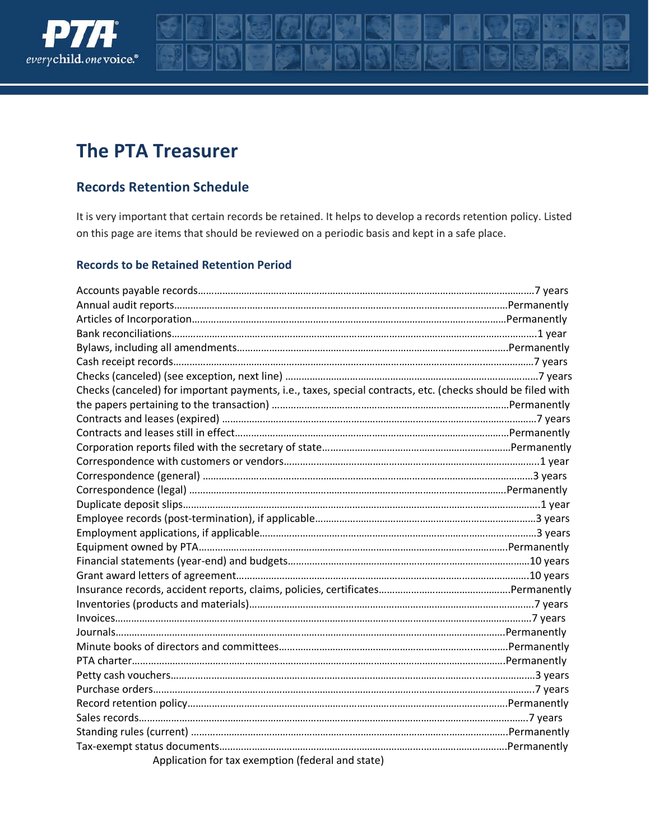

# **The PTA Treasurer**

### **Records Retention Schedule**

It is very important that certain records be retained. It helps to develop a records retention policy. Listed on this page are items that should be reviewed on a periodic basis and kept in a safe place.

#### **Records to be Retained Retention Period**

| Checks (canceled) for important payments, i.e., taxes, special contracts, etc. (checks should be filed with |  |
|-------------------------------------------------------------------------------------------------------------|--|
|                                                                                                             |  |
|                                                                                                             |  |
|                                                                                                             |  |
|                                                                                                             |  |
|                                                                                                             |  |
|                                                                                                             |  |
|                                                                                                             |  |
|                                                                                                             |  |
|                                                                                                             |  |
|                                                                                                             |  |
|                                                                                                             |  |
|                                                                                                             |  |
|                                                                                                             |  |
|                                                                                                             |  |
|                                                                                                             |  |
|                                                                                                             |  |
|                                                                                                             |  |
|                                                                                                             |  |
|                                                                                                             |  |
|                                                                                                             |  |
|                                                                                                             |  |
|                                                                                                             |  |
|                                                                                                             |  |
|                                                                                                             |  |
|                                                                                                             |  |
| Application for tax exemption (federal and state)                                                           |  |